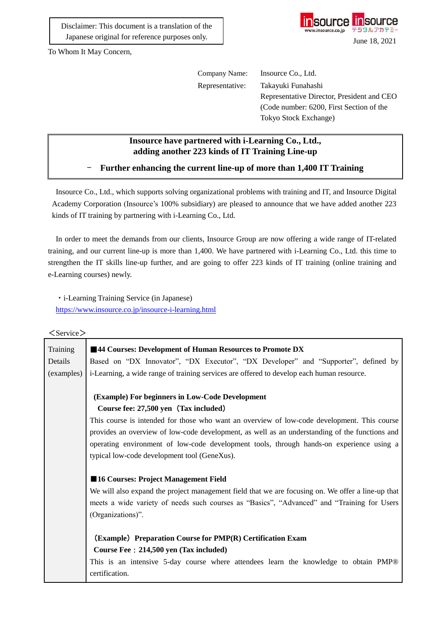Disclaimer: This document is a translation of the Japanese original for reference purposes only.



To Whom It May Concern,

| Company Name:   | Insource Co., Ltd.                         |
|-----------------|--------------------------------------------|
| Representative: | Takayuki Funahashi                         |
|                 | Representative Director, President and CEO |
|                 | (Code number: 6200, First Section of the   |
|                 | Tokyo Stock Exchange)                      |

## **Insource have partnered with i-Learning Co., Ltd., adding another 223 kinds of IT Training Line-up**

- **Further enhancing the current line-up of more than 1,400 IT Training**

Insource Co., Ltd., which supports solving organizational problems with training and IT, and Insource Digital Academy Corporation (Insource's 100% subsidiary) are pleased to announce that we have added another 223 kinds of IT training by partnering with i-Learning Co., Ltd.

In order to meet the demands from our clients, Insource Group are now offering a wide range of IT-related training, and our current line-up is more than 1,400. We have partnered with i-Learning Co., Ltd. this time to strengthen the IT skills line-up further, and are going to offer 223 kinds of IT training (online training and e-Learning courses) newly.

・i-Learning Training Service (in Japanese) <https://www.insource.co.jp/insource-i-learning.html>

## $\langle$ Service $\rangle$

| Training   | ■44 Courses: Development of Human Resources to Promote DX                                            |  |  |  |  |  |
|------------|------------------------------------------------------------------------------------------------------|--|--|--|--|--|
| Details    | Based on "DX Innovator", "DX Executor", "DX Developer" and "Supporter", defined by                   |  |  |  |  |  |
| (examples) | i-Learning, a wide range of training services are offered to develop each human resource.            |  |  |  |  |  |
|            |                                                                                                      |  |  |  |  |  |
|            | (Example) For beginners in Low-Code Development                                                      |  |  |  |  |  |
|            | Course fee: 27,500 yen (Tax included)                                                                |  |  |  |  |  |
|            | This course is intended for those who want an overview of low-code development. This course          |  |  |  |  |  |
|            | provides an overview of low-code development, as well as an understanding of the functions and       |  |  |  |  |  |
|            | operating environment of low-code development tools, through hands-on experience using a             |  |  |  |  |  |
|            | typical low-code development tool (GeneXus).                                                         |  |  |  |  |  |
|            |                                                                                                      |  |  |  |  |  |
|            | ■16 Courses: Project Management Field                                                                |  |  |  |  |  |
|            | We will also expand the project management field that we are focusing on. We offer a line-up that    |  |  |  |  |  |
|            | meets a wide variety of needs such courses as "Basics", "Advanced" and "Training for Users           |  |  |  |  |  |
|            | (Organizations)".                                                                                    |  |  |  |  |  |
|            |                                                                                                      |  |  |  |  |  |
|            | (Example) Preparation Course for PMP(R) Certification Exam<br>Course Fee: 214,500 yen (Tax included) |  |  |  |  |  |
|            |                                                                                                      |  |  |  |  |  |
|            | This is an intensive 5-day course where attendees learn the knowledge to obtain PMP®                 |  |  |  |  |  |
|            | certification.                                                                                       |  |  |  |  |  |